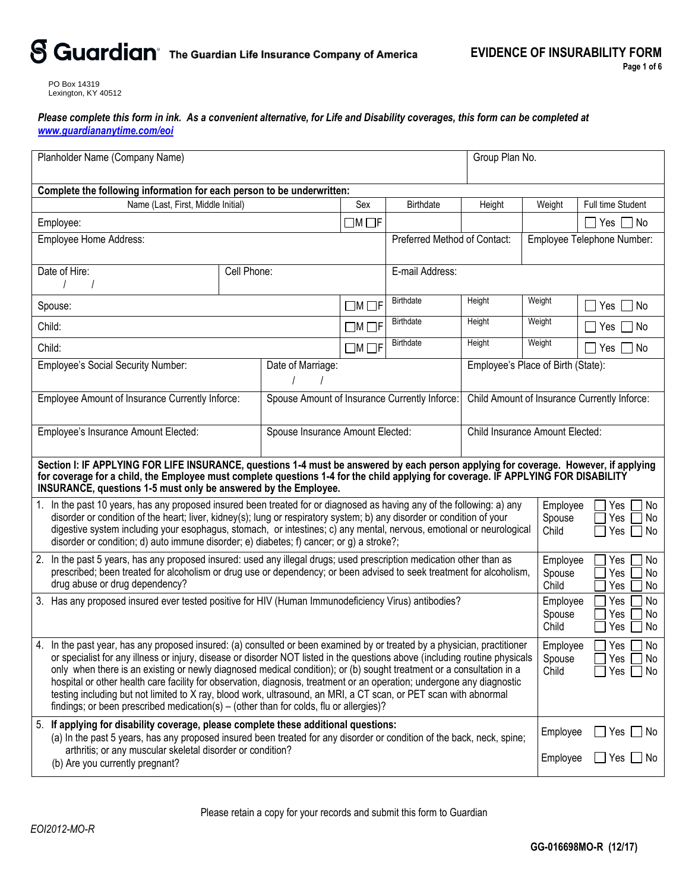# S Guardian<sup>®</sup> The Guardian Life Insurance Company of America

PO Box 14319 Lexington, KY 40512

*Please complete this form in ink. As a convenient alternative, for Life and Disability coverages, this form can be completed at [www.guardiananytime.com/eoi](http://www.guardiananytime.com/eoi)*

| Planholder Name (Company Name)                                                                                                                                                                                                                                                                                                                                                                                                                                                                                                                                                                                                                                                                                             |                   |                                               |                   |                                              |                                    | Group Plan No.                         |                                                           |  |
|----------------------------------------------------------------------------------------------------------------------------------------------------------------------------------------------------------------------------------------------------------------------------------------------------------------------------------------------------------------------------------------------------------------------------------------------------------------------------------------------------------------------------------------------------------------------------------------------------------------------------------------------------------------------------------------------------------------------------|-------------------|-----------------------------------------------|-------------------|----------------------------------------------|------------------------------------|----------------------------------------|-----------------------------------------------------------|--|
| Complete the following information for each person to be underwritten:                                                                                                                                                                                                                                                                                                                                                                                                                                                                                                                                                                                                                                                     |                   |                                               |                   |                                              |                                    |                                        |                                                           |  |
| Name (Last, First, Middle Initial)                                                                                                                                                                                                                                                                                                                                                                                                                                                                                                                                                                                                                                                                                         |                   |                                               | Sex               | <b>Birthdate</b>                             | Height                             | Weight                                 | Full time Student                                         |  |
| Employee:                                                                                                                                                                                                                                                                                                                                                                                                                                                                                                                                                                                                                                                                                                                  |                   |                                               | $\Box M \Box F$   |                                              |                                    |                                        | $Yes \Box$ No                                             |  |
| Employee Home Address:                                                                                                                                                                                                                                                                                                                                                                                                                                                                                                                                                                                                                                                                                                     |                   |                                               |                   | Preferred Method of Contact:                 |                                    |                                        | Employee Telephone Number:                                |  |
|                                                                                                                                                                                                                                                                                                                                                                                                                                                                                                                                                                                                                                                                                                                            |                   |                                               |                   |                                              |                                    |                                        |                                                           |  |
| Date of Hire:                                                                                                                                                                                                                                                                                                                                                                                                                                                                                                                                                                                                                                                                                                              | Cell Phone:       |                                               |                   | E-mail Address:                              |                                    |                                        |                                                           |  |
| Spouse:                                                                                                                                                                                                                                                                                                                                                                                                                                                                                                                                                                                                                                                                                                                    |                   |                                               | $\Box$ M $\Box$ F | <b>Birthdate</b>                             | Height                             | Weight                                 | ∣No<br>Yes                                                |  |
| Child:                                                                                                                                                                                                                                                                                                                                                                                                                                                                                                                                                                                                                                                                                                                     |                   |                                               | $\Box$ M $\Box$ F | <b>Birthdate</b>                             | Height                             | Weight                                 | ∩ No<br>Yes                                               |  |
| Child:                                                                                                                                                                                                                                                                                                                                                                                                                                                                                                                                                                                                                                                                                                                     |                   |                                               | $\Box$ M $\Box$ F | <b>Birthdate</b>                             | Height                             | Weight                                 | □ No<br>Yes                                               |  |
| <b>Employee's Social Security Number:</b>                                                                                                                                                                                                                                                                                                                                                                                                                                                                                                                                                                                                                                                                                  | Date of Marriage: |                                               |                   |                                              | Employee's Place of Birth (State): |                                        |                                                           |  |
| Employee Amount of Insurance Currently Inforce:                                                                                                                                                                                                                                                                                                                                                                                                                                                                                                                                                                                                                                                                            |                   | Spouse Amount of Insurance Currently Inforce: |                   | Child Amount of Insurance Currently Inforce: |                                    |                                        |                                                           |  |
| Employee's Insurance Amount Elected:<br>Spouse Insurance Amount Elected:                                                                                                                                                                                                                                                                                                                                                                                                                                                                                                                                                                                                                                                   |                   |                                               |                   |                                              |                                    | <b>Child Insurance Amount Elected:</b> |                                                           |  |
| Section I: IF APPLYING FOR LIFE INSURANCE, questions 1-4 must be answered by each person applying for coverage. However, if applying<br>for coverage for a child, the Employee must complete questions 1-4 for the child applying for coverage. IF APPLYING FOR DISABILITY<br>INSURANCE, questions 1-5 must only be answered by the Employee.                                                                                                                                                                                                                                                                                                                                                                              |                   |                                               |                   |                                              |                                    |                                        |                                                           |  |
| 1. In the past 10 years, has any proposed insured been treated for or diagnosed as having any of the following: a) any<br>disorder or condition of the heart; liver, kidney(s); lung or respiratory system; b) any disorder or condition of your<br>digestive system including your esophagus, stomach, or intestines; c) any mental, nervous, emotional or neurological<br>disorder or condition; d) auto immune disorder; e) diabetes; f) cancer; or g) a stroke?;                                                                                                                                                                                                                                                       |                   |                                               |                   |                                              |                                    | Employee<br>Spouse<br>Child            | Yes<br>No<br>Yes<br>No<br>Yes<br>  No                     |  |
| 2. In the past 5 years, has any proposed insured: used any illegal drugs; used prescription medication other than as<br>prescribed; been treated for alcoholism or drug use or dependency; or been advised to seek treatment for alcoholism,<br>drug abuse or drug dependency?                                                                                                                                                                                                                                                                                                                                                                                                                                             |                   |                                               |                   |                                              |                                    | Employee<br>Spouse<br>Child            | Yes<br>No<br>Yes<br>No<br>Yes<br>No                       |  |
| 3. Has any proposed insured ever tested positive for HIV (Human Immunodeficiency Virus) antibodies?                                                                                                                                                                                                                                                                                                                                                                                                                                                                                                                                                                                                                        |                   |                                               |                   |                                              |                                    |                                        | Employee<br>Yes<br>No<br>Yes<br>No.<br>Yes $\Box$<br>  No |  |
| In the past year, has any proposed insured: (a) consulted or been examined by or treated by a physician, practitioner<br>4.<br>or specialist for any illness or injury, disease or disorder NOT listed in the questions above (including routine physicals<br>only when there is an existing or newly diagnosed medical condition); or (b) sought treatment or a consultation in a<br>hospital or other health care facility for observation, diagnosis, treatment or an operation; undergone any diagnostic<br>testing including but not limited to X ray, blood work, ultrasound, an MRI, a CT scan, or PET scan with abnormal<br>findings; or been prescribed medication(s) – (other than for colds, flu or allergies)? |                   |                                               |                   |                                              |                                    |                                        | Employee<br>Yes     No<br>Yes $\Box$ No<br>$Yes \Box No$  |  |
| 5. If applying for disability coverage, please complete these additional questions:<br>(a) In the past 5 years, has any proposed insured been treated for any disorder or condition of the back, neck, spine;<br>arthritis; or any muscular skeletal disorder or condition?<br>(b) Are you currently pregnant?                                                                                                                                                                                                                                                                                                                                                                                                             |                   |                                               |                   |                                              |                                    | Employee<br>Employee                   | $\Box$ Yes $\Box$ No<br>$\Box$ Yes $\Box$ No              |  |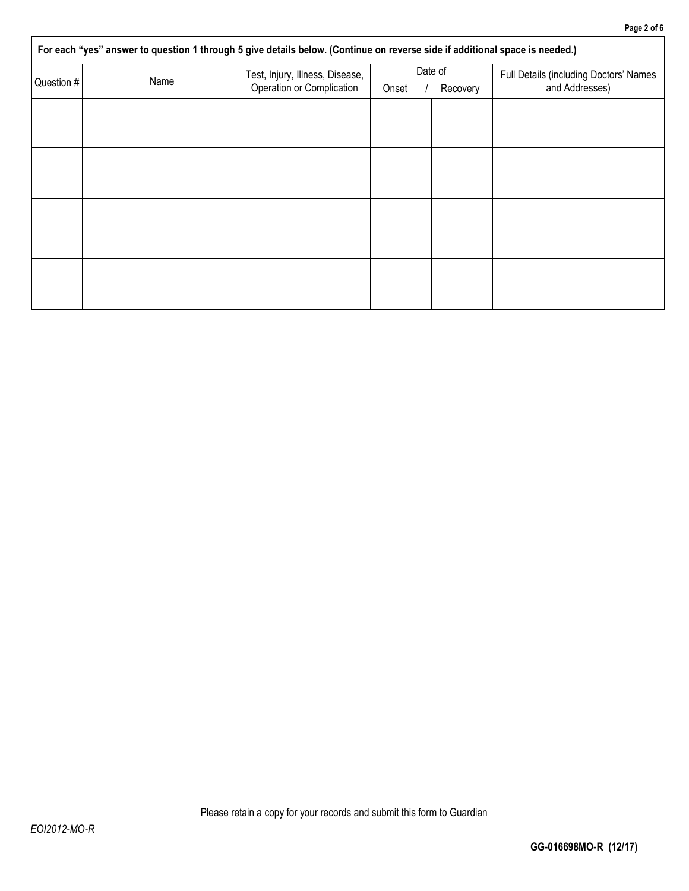| For each "yes" answer to question 1 through 5 give details below. (Continue on reverse side if additional space is needed.) |                                 |                   |         |                                        |  |  |  |  |  |
|-----------------------------------------------------------------------------------------------------------------------------|---------------------------------|-------------------|---------|----------------------------------------|--|--|--|--|--|
| Name<br>Question #                                                                                                          | Test, Injury, Illness, Disease, |                   | Date of | Full Details (including Doctors' Names |  |  |  |  |  |
|                                                                                                                             | Operation or Complication       | Onset<br>Recovery |         | and Addresses)                         |  |  |  |  |  |
|                                                                                                                             |                                 |                   |         |                                        |  |  |  |  |  |
|                                                                                                                             |                                 |                   |         |                                        |  |  |  |  |  |
|                                                                                                                             |                                 |                   |         |                                        |  |  |  |  |  |
|                                                                                                                             |                                 |                   |         |                                        |  |  |  |  |  |
|                                                                                                                             |                                 |                   |         |                                        |  |  |  |  |  |
|                                                                                                                             |                                 |                   |         |                                        |  |  |  |  |  |
|                                                                                                                             |                                 |                   |         |                                        |  |  |  |  |  |
|                                                                                                                             |                                 |                   |         |                                        |  |  |  |  |  |
|                                                                                                                             |                                 |                   |         |                                        |  |  |  |  |  |
|                                                                                                                             |                                 |                   |         |                                        |  |  |  |  |  |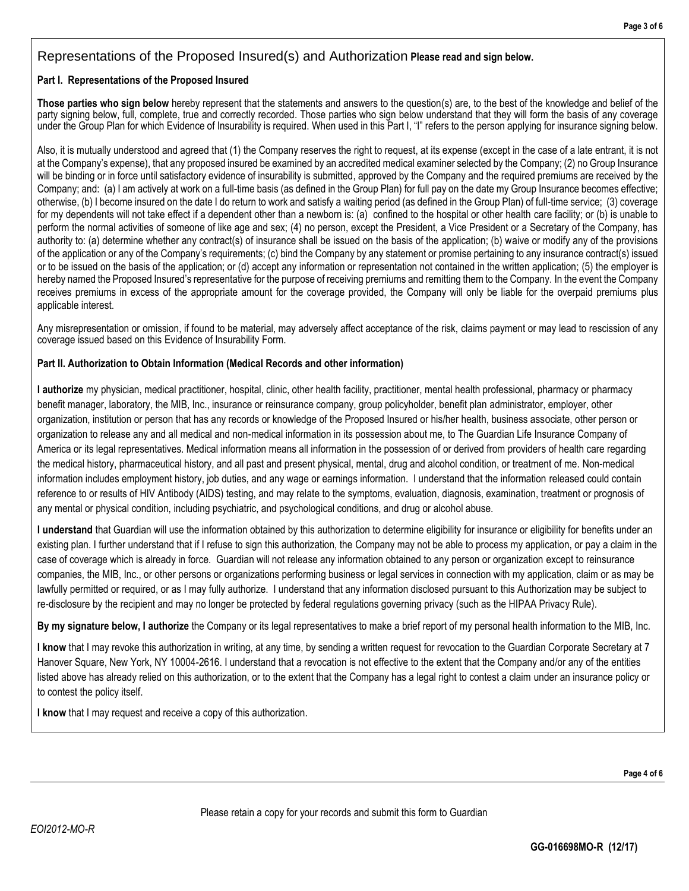## Representations of the Proposed Insured(s) and Authorization **Please read and sign below.**

#### **Part I. Representations of the Proposed Insured**

**Those parties who sign below** hereby represent that the statements and answers to the question(s) are, to the best of the knowledge and belief of the party signing below, full, complete, true and correctly recorded. Those parties who sign below understand that they will form the basis of any coverage under the Group Plan for which Evidence of Insurability is required. When used in this Part I, "I" refers to the person applying for insurance signing below.

Also, it is mutually understood and agreed that (1) the Company reserves the right to request, at its expense (except in the case of a late entrant, it is not at the Company's expense), that any proposed insured be examined by an accredited medical examiner selected by the Company; (2) no Group Insurance will be binding or in force until satisfactory evidence of insurability is submitted, approved by the Company and the required premiums are received by the Company; and: (a) I am actively at work on a full-time basis (as defined in the Group Plan) for full pay on the date my Group Insurance becomes effective; otherwise, (b) I become insured on the date I do return to work and satisfy a waiting period (as defined in the Group Plan) of full-time service; (3) coverage for my dependents will not take effect if a dependent other than a newborn is: (a) confined to the hospital or other health care facility; or (b) is unable to perform the normal activities of someone of like age and sex; (4) no person, except the President, a Vice President or a Secretary of the Company, has authority to: (a) determine whether any contract(s) of insurance shall be issued on the basis of the application; (b) waive or modify any of the provisions of the application or any of the Company's requirements; (c) bind the Company by any statement or promise pertaining to any insurance contract(s) issued or to be issued on the basis of the application; or (d) accept any information or representation not contained in the written application; (5) the employer is hereby named the Proposed Insured's representative for the purpose of receiving premiums and remitting them to the Company. In the event the Company receives premiums in excess of the appropriate amount for the coverage provided, the Company will only be liable for the overpaid premiums plus applicable interest.

Any misrepresentation or omission, if found to be material, may adversely affect acceptance of the risk, claims payment or may lead to rescission of any coverage issued based on this Evidence of Insurability Form.

### **Part II. Authorization to Obtain Information (Medical Records and other information)**

**I authorize** my physician, medical practitioner, hospital, clinic, other health facility, practitioner, mental health professional, pharmacy or pharmacy benefit manager, laboratory, the MIB, Inc., insurance or reinsurance company, group policyholder, benefit plan administrator, employer, other organization, institution or person that has any records or knowledge of the Proposed Insured or his/her health, business associate, other person or organization to release any and all medical and non-medical information in its possession about me, to The Guardian Life Insurance Company of America or its legal representatives. Medical information means all information in the possession of or derived from providers of health care regarding the medical history, pharmaceutical history, and all past and present physical, mental, drug and alcohol condition, or treatment of me. Non-medical information includes employment history, job duties, and any wage or earnings information. I understand that the information released could contain reference to or results of HIV Antibody (AIDS) testing, and may relate to the symptoms, evaluation, diagnosis, examination, treatment or prognosis of any mental or physical condition, including psychiatric, and psychological conditions, and drug or alcohol abuse.

**I understand** that Guardian will use the information obtained by this authorization to determine eligibility for insurance or eligibility for benefits under an existing plan. I further understand that if I refuse to sign this authorization, the Company may not be able to process my application, or pay a claim in the case of coverage which is already in force. Guardian will not release any information obtained to any person or organization except to reinsurance companies, the MIB, Inc., or other persons or organizations performing business or legal services in connection with my application, claim or as may be lawfully permitted or required, or as I may fully authorize. I understand that any information disclosed pursuant to this Authorization may be subject to re-disclosure by the recipient and may no longer be protected by federal regulations governing privacy (such as the HIPAA Privacy Rule).

**By my signature below, I authorize** the Company or its legal representatives to make a brief report of my personal health information to the MIB, Inc.

**I know** that I may revoke this authorization in writing, at any time, by sending a written request for revocation to the Guardian Corporate Secretary at 7 Hanover Square, New York, NY 10004-2616. I understand that a revocation is not effective to the extent that the Company and/or any of the entities listed above has already relied on this authorization, or to the extent that the Company has a legal right to contest a claim under an insurance policy or to contest the policy itself.

**I know** that I may request and receive a copy of this authorization.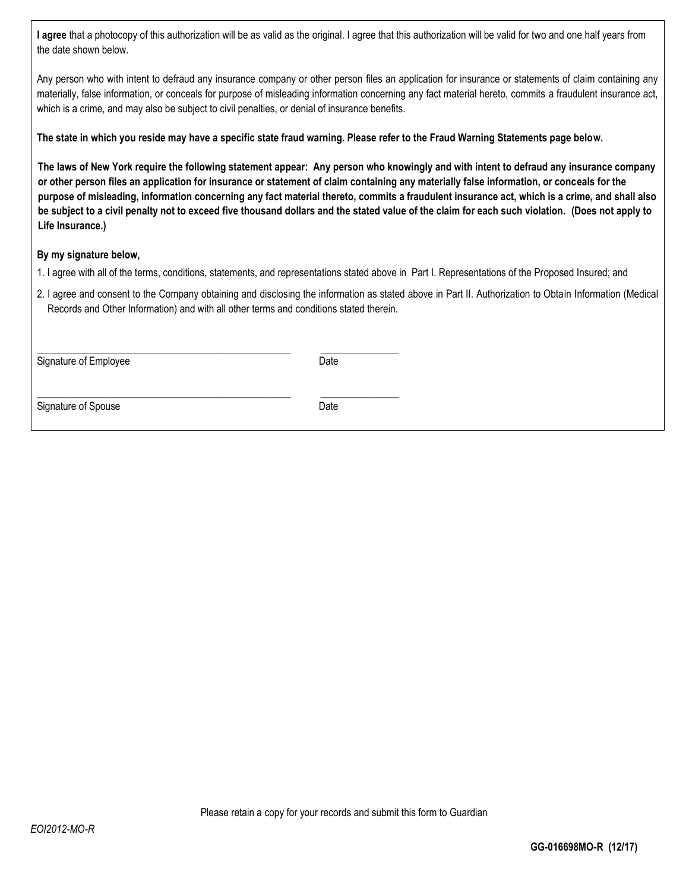**I agree** that a photocopy of this authorization will be as valid as the original. I agree that this authorization will be valid for two and one half years from the date shown below.

Any person who with intent to defraud any insurance company or other person files an application for insurance or statements of claim containing any materially, false information, or conceals for purpose of misleading information concerning any fact material hereto, commits a fraudulent insurance act, which is a crime, and may also be subject to civil penalties, or denial of insurance benefits.

**The state in which you reside may have a specific state fraud warning. Please refer to the Fraud Warning Statements page below.** 

**The laws of New York require the following statement appear: Any person who knowingly and with intent to defraud any insurance company or other person files an application for insurance or statement of claim containing any materially false information, or conceals for the purpose of misleading, information concerning any fact material thereto, commits a fraudulent insurance act, which is a crime, and shall also be subject to a civil penalty not to exceed five thousand dollars and the stated value of the claim for each such violation. (Does not apply to Life Insurance.)**

### **By my signature below,**

- 1. I agree with all of the terms, conditions, statements, and representations stated above in Part I. Representations of the Proposed Insured; and
- 2. I agree and consent to the Company obtaining and disclosing the information as stated above in Part II. Authorization to Obtain Information (Medical Records and Other Information) and with all other terms and conditions stated therein.

Signature of Employee Date

\_\_\_\_\_\_\_\_\_\_\_\_\_\_\_\_\_\_\_\_\_\_\_\_\_\_\_\_\_\_\_\_\_\_\_\_\_\_\_\_\_\_\_\_\_\_\_\_\_\_\_\_\_\_\_ \_\_\_\_\_\_\_\_\_\_\_\_\_\_\_\_\_

 $\_$  , and the set of the set of the set of the set of the set of the set of the set of the set of the set of the set of the set of the set of the set of the set of the set of the set of the set of the set of the set of th

Signature of Spouse Date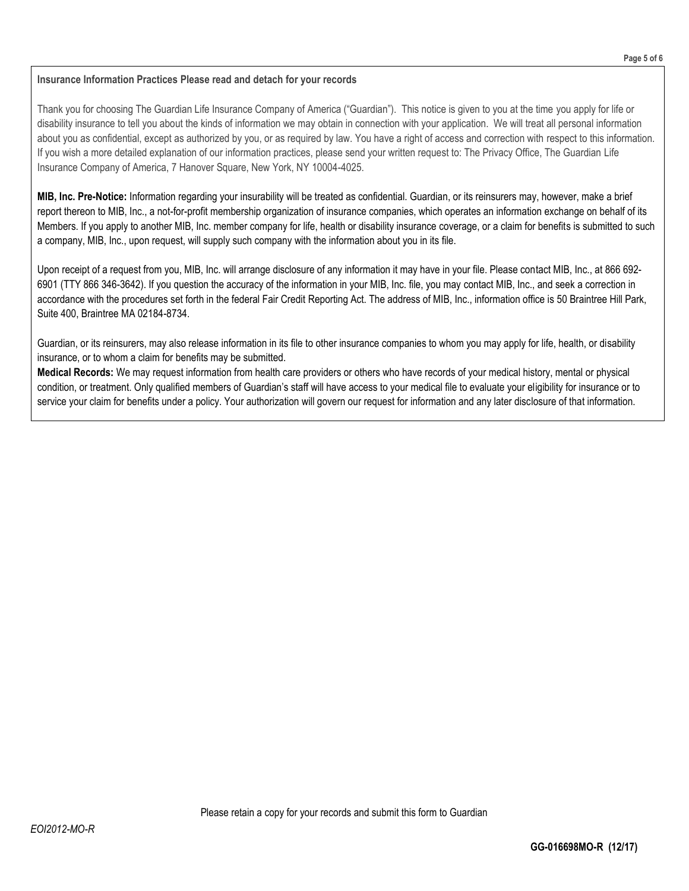#### **Insurance Information Practices Please read and detach for your records**

Thank you for choosing The Guardian Life Insurance Company of America ("Guardian"). This notice is given to you at the time you apply for life or disability insurance to tell you about the kinds of information we may obtain in connection with your application. We will treat all personal information about you as confidential, except as authorized by you, or as required by law. You have a right of access and correction with respect to this information. If you wish a more detailed explanation of our information practices, please send your written request to: The Privacy Office, The Guardian Life Insurance Company of America, 7 Hanover Square, New York, NY 10004-4025.

**MIB, Inc. Pre-Notice:** Information regarding your insurability will be treated as confidential. Guardian, or its reinsurers may, however, make a brief report thereon to MIB, Inc., a not-for-profit membership organization of insurance companies, which operates an information exchange on behalf of its Members. If you apply to another MIB, Inc. member company for life, health or disability insurance coverage, or a claim for benefits is submitted to such a company, MIB, Inc., upon request, will supply such company with the information about you in its file.

Upon receipt of a request from you, MIB, Inc. will arrange disclosure of any information it may have in your file. Please contact MIB, Inc., at 866 692- 6901 (TTY 866 346-3642). If you question the accuracy of the information in your MIB, Inc. file, you may contact MIB, Inc., and seek a correction in accordance with the procedures set forth in the federal Fair Credit Reporting Act. The address of MIB, Inc., information office is 50 Braintree Hill Park, Suite 400, Braintree MA 02184-8734.

Guardian, or its reinsurers, may also release information in its file to other insurance companies to whom you may apply for life, health, or disability insurance, or to whom a claim for benefits may be submitted.

**Medical Records:** We may request information from health care providers or others who have records of your medical history, mental or physical condition, or treatment. Only qualified members of Guardian's staff will have access to your medical file to evaluate your eligibility for insurance or to service your claim for benefits under a policy. Your authorization will govern our request for information and any later disclosure of that information.